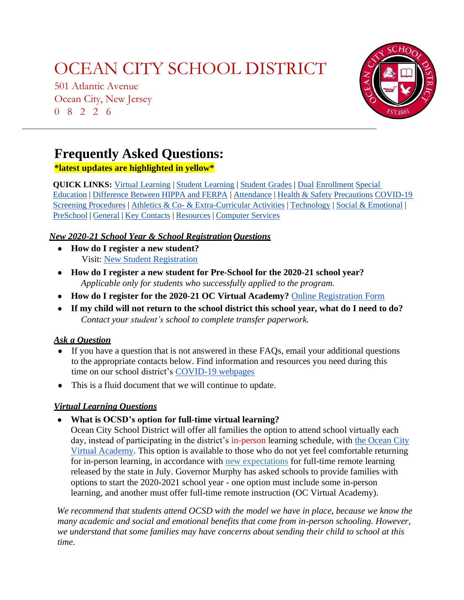501 Atlantic Avenue Ocean City, New Jersey 0 8 2 2 6



### **Frequently Asked Questions:**

### **\*latest updates are highlighted in yellow\***

**QUICK [LINKS:](#page-5-0)** Virtual [Learning](#page-4-0) [|](#page-5-0) [Student](#page-5-0) Learning | Student Grades | [Dual](#page-5-0) [Enrollment](#page-6-0) [Specia](#page-5-1)l [Education](#page-5-0) | [Differenc](#page-5-2)[e Between HIPPA and FERPA](#page-5-0) | [Attendance](#page-6-1) [| Health & S](#page-5-0)afety [Precautions](#page-6-0) [COVID](#page-10-0)[-19](#page-6-0)  [Screening Procedures](#page-6-0) | [Athletics](#page-12-0) & Co- [& Extra-Curricular Activities](#page-6-0) | [Technology](#page-12-0) | Social & [Emotional](#page-13-0) | [PreSchool](#page-14-0) | [General](#page-14-0) | [Key Contacts](#page-15-0) | [Resources](#page-17-0) | [Computer Services](#page-18-0)

### *New 2020-21 School Year & School Registration Questions*

- **How do I register a new student?** Visit: New Student [Registration](https://oceancityschools.org/newstudents)
- **How do I register a new student for Pre-School for the 2020-21 school year?** *Applicable only for students who successfully applied to the program.*
- **How do I register for the 2020-21 OC Virtual Academy?** Online [Registration Form](https://forms.office.com/Pages/ResponsePage.aspx?id=9pmyvWMp1kGghBtdwSyjCiPJ9Ht3v8tHjwpk8sY-lPhUOTVRQ09CMzBFREVGNzlIVkhHR0hSNFFaTC4u)
- If my child will not return to the school district this school year, what do I need to do? *Contact your student's school to complete transfer paperwork.*

### *Ask a Question*

- If you have a question that is not answered in these FAQs, email your additional questions to the appropriate contacts below. Find information and resources you need during this time on our school district's COVID-19 webpages
- <span id="page-0-0"></span>● This is a fluid document that we will continue to update.

### *Virtual Learning Questions*

● **What is OCSD's option for full-time virtual learning?**

Ocean City School District will offer all families the option to attend school virtually each day, instead of participating in the district's in-person learning schedule, with [the Ocean City](https://oceancityschools.org/uploads/1596467846OCSD%20Virtual%20Academy%20Overview.pdf) [Virtual Academy.](https://oceancityschools.org/uploads/1596467846OCSD%20Virtual%20Academy%20Overview.pdf) This option is available to those who do not yet feel comfortable returning for in-person learning, in accordance with [new expectations](https://nj.gov/education/reopening/updates/docs/7.24.20%20RtR%20Fulltime%20Remote%20Update.pdf) for full-time remote learning released by the state in July. Governor Murphy has asked schools to provide families with options to start the 2020-2021 school year - one option must include some in-person learning, and another must offer full-time remote instruction (OC Virtual Academy).

*We recommend that students attend OCSD with the model we have in place, because we know the many academic and social and emotional benefits that come from in-person schooling. However, we understand that some families may have concerns about sending their child to school at this time.*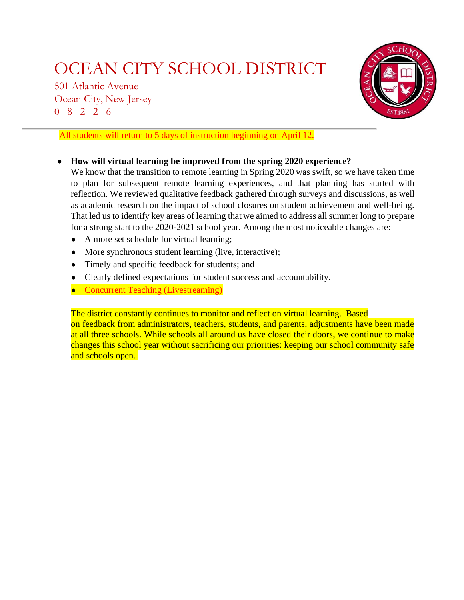501 Atlantic Avenue Ocean City, New Jersey 0 8 2 2 6



All students will return to 5 days of instruction beginning on April 12.

● **How will virtual learning be improved from the spring 2020 experience?**

We know that the transition to remote learning in Spring 2020 was swift, so we have taken time to plan for subsequent remote learning experiences, and that planning has started with reflection. We reviewed qualitative feedback gathered through surveys and discussions, as well as academic research on the impact of school closures on student achievement and well-being. That led us to identify key areas of learning that we aimed to address all summer long to prepare for a strong start to the 2020-2021 school year. Among the most noticeable changes are:

- A more set schedule for virtual learning;
- More synchronous student learning (live, interactive);
- Timely and specific feedback for students; and
- Clearly defined expectations for student success and accountability.
- Concurrent Teaching (Livestreaming)

The district constantly continues to monitor and reflect on virtual learning. Based on feedback from administrators, teachers, students, and parents, adjustments have been made at all three schools. While schools all around us have closed their doors, we continue to make changes this school year without sacrificing our priorities: keeping our school community safe and schools open.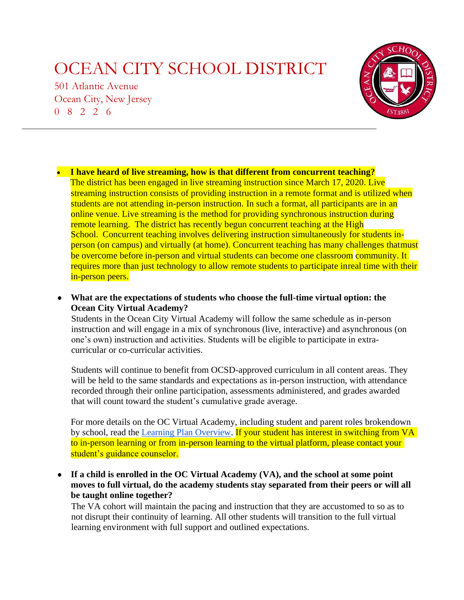501 Atlantic Avenue Ocean City, New Jersey 0 8 2 2 6



• **I have heard of live streaming, how is that different from concurrent teaching?** The district has been engaged in live streaming instruction since March 17, 2020. Live streaming instruction consists of providing instruction in a remote format and is utilized when students are not attending in-person instruction. In such a format, all participants are in an online venue. Live streaming is the method for providing synchronous instruction during remote learning. The district has recently begun concurrent teaching at the High School. Concurrent teaching involves delivering instruction simultaneously for students inperson (on campus) and virtually (at home). Concurrent teaching has many challenges thatmust be overcome before in-person and virtual students can become one classroom community. It requires more than just technology to allow remote students to participate inreal time with their in-person peers.

● **What are the expectations of students who choose the full-time virtual option: the Ocean City Virtual Academy?**

Students in the Ocean City Virtual Academy will follow the same schedule as in-person instruction and will engage in a mix of synchronous (live, interactive) and asynchronous (on one's own) instruction and activities. Students will be eligible to participate in extracurricular or co-curricular activities.

Students will continue to benefit from OCSD-approved curriculum in all content areas. They will be held to the same standards and expectations as in-person instruction, with attendance recorded through their online participation, assessments administered, and grades awarded that will count toward the student's cumulative grade average.

For more details on the OC Virtual Academy, including student and parent roles brokendown by school, read the [Learning Plan Overview.](https://oceancityschools.org/uploads/1596467846OCSD%20Virtual%20Academy%20Overview.pdf) If your student has interest in switching from VA to in-person learning or from in-person learning to the virtual platform, please contact your student's guidance counselor.

● **If a child is enrolled in the OC Virtual Academy (VA), and the school at some point moves to full virtual, do the academy students stay separated from their peers or will all be taught online together?**

The VA cohort will maintain the pacing and instruction that they are accustomed to so as to not disrupt their continuity of learning. All other students will transition to the full virtual learning environment with full support and outlined expectations.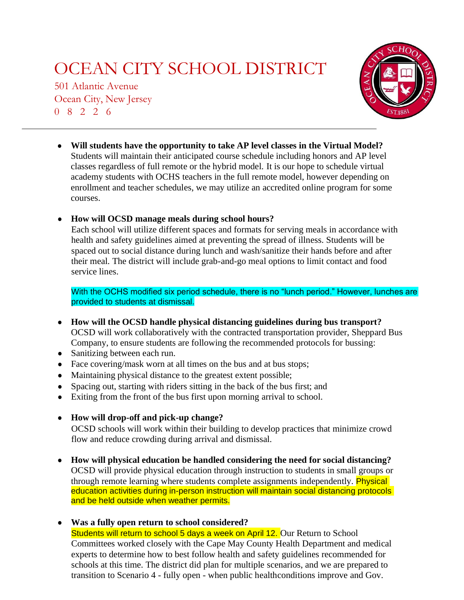501 Atlantic Avenue Ocean City, New Jersey 0 8 2 2 6



● **Will students have the opportunity to take AP level classes in the Virtual Model?** Students will maintain their anticipated course schedule including honors and AP level classes regardless of full remote or the hybrid model. It is our hope to schedule virtual academy students with OCHS teachers in the full remote model, however depending on enrollment and teacher schedules, we may utilize an accredited online program for some courses.

### ● **How will OCSD manage meals during school hours?**

Each school will utilize different spaces and formats for serving meals in accordance with health and safety guidelines aimed at preventing the spread of illness. Students will be spaced out to social distance during lunch and wash/sanitize their hands before and after their meal. The district will include grab-and-go meal options to limit contact and food service lines.

With the OCHS modified six period schedule, there is no "lunch period." However, lunches are provided to students at dismissal.

- **How will the OCSD handle physical distancing guidelines during bus transport?** OCSD will work collaboratively with the contracted transportation provider, Sheppard Bus Company, to ensure students are following the recommended protocols for bussing:
- Sanitizing between each run.
- Face covering/mask worn at all times on the bus and at bus stops;
- Maintaining physical distance to the greatest extent possible;
- Spacing out, starting with riders sitting in the back of the bus first; and
- Exiting from the front of the bus first upon morning arrival to school.
- **How will drop-off and pick-up change?**

OCSD schools will work within their building to develop practices that minimize crowd flow and reduce crowding during arrival and dismissal.

● **How will physical education be handled considering the need for social distancing?** OCSD will provide physical education through instruction to students in small groups or through remote learning where students complete assignments independently. **Physical** education activities during in-person instruction will maintain social distancing protocols and be held outside when weather permits.

● **Was a fully open return to school considered?**

Students will return to school 5 days a week on April 12. Our Return to School Committees worked closely with the Cape May County Health Department and medical experts to determine how to best follow health and safety guidelines recommended for schools at this time. The district did plan for multiple scenarios, and we are prepared to transition to Scenario 4 - fully open - when public healthconditions improve and Gov.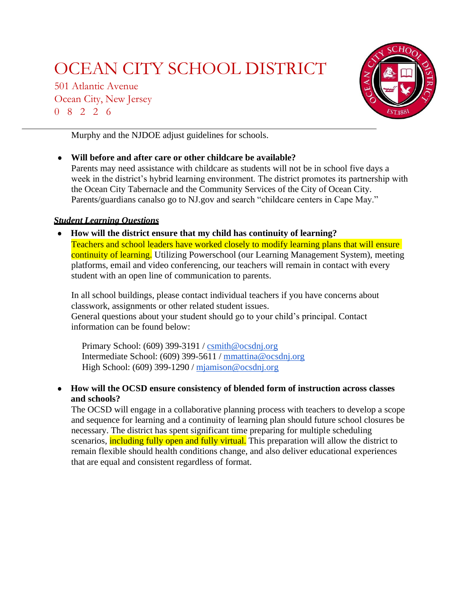501 Atlantic Avenue Ocean City, New Jersey 0 8 2 2 6



Murphy and the NJDOE adjust guidelines for schools.

● **Will before and after care or other childcare be available?** Parents may need assistance with childcare as students will not be in school five days a week in the district's hybrid learning environment. The district promotes its partnership with the Ocean City Tabernacle and the Community Services of the City of Ocean City. Parents/guardians canalso go to NJ.gov and search "childcare centers in Cape May."

### <span id="page-4-0"></span>*Student Learning Questions*

● **How will the district ensure that my child has continuity of learning?** Teachers and school leaders have worked closely to modify learning plans that will ensure continuity of learning. Utilizing Powerschool (our Learning Management System), meeting platforms, email and video conferencing, our teachers will remain in contact with every student with an open line of communication to parents.

In all school buildings, please contact individual teachers if you have concerns about classwork, assignments or other related student issues. General questions about your student should go to your child's principal. Contact information can be found below:

Primary School: (609) 399-3191 / [csmith@ocsdnj.org](mailto:csmith@ocsdnj.org) Intermediate School: (609) 399-5611 / [mmattina@ocsdnj.org](mailto:mmattina@ocsdnj.org) High School: (609) 399-1290 / [mjamison@ocsdnj.org](mailto:mjamison@ocsdnj.org)

● **How will the OCSD ensure consistency of blended form of instruction across classes and schools?**

The OCSD will engage in a collaborative planning process with teachers to develop a scope and sequence for learning and a continuity of learning plan should future school closures be necessary. The district has spent significant time preparing for multiple scheduling scenarios, **including fully open and fully virtual.** This preparation will allow the district to remain flexible should health conditions change, and also deliver educational experiences that are equal and consistent regardless of format.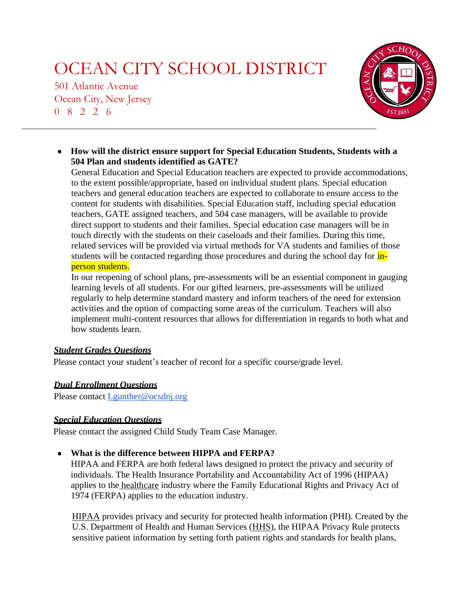501 Atlantic Avenue Ocean City, New Jersey 0 8 2 2 6



<span id="page-5-1"></span><span id="page-5-0"></span>● **How will the district ensure support for Special Education Students, Students with a 504 Plan and students identified as GATE?**

General Education and Special Education teachers are expected to provide accommodations, to the extent possible/appropriate, based on individual student plans. Special education teachers and general education teachers are expected to collaborate to ensure access to the content for students with disabilities. Special Education staff, including special education teachers, GATE assigned teachers, and 504 case managers, will be available to provide direct support to students and their families. Special education case managers will be in touch directly with the students on their caseloads and their families. During this time, related services will be provided via virtual methods for VA students and families of those students will be contacted regarding those procedures and during the school day for inperson students.

In our reopening of school plans, pre-assessments will be an essential component in gauging learning levels of all students. For our gifted learners, pre-assessments will be utilized regularly to help determine standard mastery and inform teachers of the need for extension activities and the option of compacting some areas of the curriculum. Teachers will also implement multi-content resources that allows for differentiation in regards to both what and how students learn.

### <span id="page-5-2"></span>*Student Grades Questions*

Please contact your student's teacher of record for a specific course/grade level.

### *Dual Enrollment Questions*

Please contact [Lgunther@ocsdnj.org](mailto:Lgunther@ocsdnj.org)

### *Special Education Questions*

Please contact the assigned Child Study Team Case Manager.

### ● **What is the difference between HIPPA and FERPA?**

HIPAA and FERPA are both federal laws designed to protect the privacy and security of individuals. The Health Insurance Portability and Accountability Act of 1996 (HIPAA) applies to the [healthcare](https://reciprocitylabs.com/industries/healthcare/) industry where the Family Educational Rights and Privacy Act of 1974 (FERPA) applies to the education industry.

[HIPAA](https://reciprocitylabs.com/frameworks/hipaa-framework-hipaa-compliance/) provides privacy and security for protected health information (PHI). Created by the U.S. Department of Health and Human Services [\(HHS\),](https://www.hhs.gov/hipaa/index.html) the HIPAA Privacy Rule protects sensitive patient information by setting forth patient rights and standards for health plans,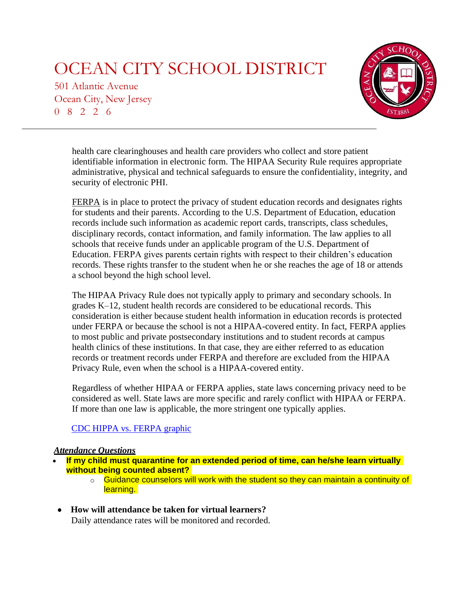501 Atlantic Avenue Ocean City, New Jersey 0 8 2 2 6



health care clearinghouses and health care providers who collect and store patient identifiable information in electronic form. The HIPAA Security Rule requires appropriate administrative, physical and technical safeguards to ensure the confidentiality, integrity, and security of electronic PHI.

<span id="page-6-1"></span>[FERPA](https://www2.ed.gov/policy/gen/guid/fpco/ferpa/index.html) is in place to protect the privacy of student education records and designates rights for students and their parents. According to the U.S. Department of Education, education records include such information as academic report cards, transcripts, class schedules, disciplinary records, contact information, and family information. The law applies to all schools that receive funds under an applicable program of the U.S. Department of Education. FERPA gives parents certain rights with respect to their children's education records. These rights transfer to the student when he or she reaches the age of 18 or attends a school beyond the high school level.

The HIPAA Privacy Rule does not typically apply to primary and secondary schools. In grades K–12, student health records are considered to be educational records. This consideration is either because student health information in education records is protected under FERPA or because the school is not a HIPAA-covered entity. In fact, FERPA applies to most public and private postsecondary institutions and to student records at campus health clinics of these institutions. In that case, they are either referred to as education records or treatment records under FERPA and therefore are excluded from the HIPAA Privacy Rule, even when the school is a HIPAA-covered entity.

Regardless of whether HIPAA or FERPA applies, state laws concerning privacy need to be considered as well. State laws are more specific and rarely conflict with HIPAA or FERPA. If more than one law is applicable, the more stringent one typically applies.

### CDC HIPPA vs. [FERPA](https://www.cdc.gov/phlp/docs/hipaa-ferpa-infographic-508.pdf) graphic

### *Attendance Questions*

- <span id="page-6-0"></span>• **If my child must quarantine for an extended period of time, can he/she learn virtually without being counted absent?**
	- $\circ$  Guidance counselors will work with the student so they can maintain a continuity of learning.
- **How will attendance be taken for virtual learners?** Daily attendance rates will be monitored and recorded.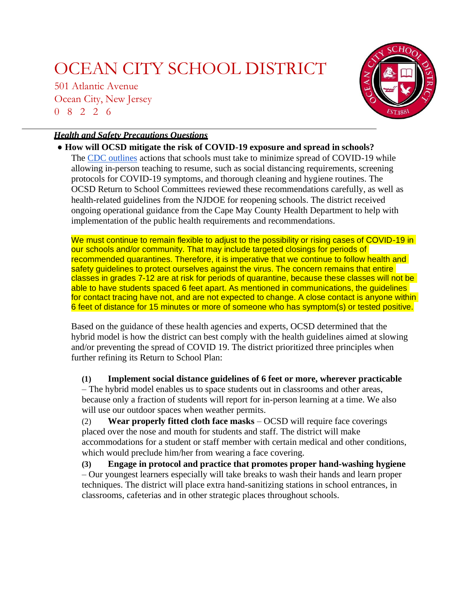501 Atlantic Avenue Ocean City, New Jersey 0 8 2 2 6



### *Health and Safety Precautions Questions*

● **How will OCSD mitigate the risk of COVID-19 exposure and spread in schools?** The [CDC outlines](https://www.cdc.gov/coronavirus/2019-ncov/community/schools-childcare/schools.html) actions that schools must take to minimize spread of COVID-19 while allowing in-person teaching to resume, such as social distancing requirements, screening protocols for COVID-19 symptoms, and thorough cleaning and hygiene routines. The OCSD Return to School Committees reviewed these recommendations carefully, as well as health-related guidelines from the NJDOE for reopening schools. The district received ongoing operational guidance from the Cape May County Health Department to help with implementation of the public health requirements and recommendations.

We must continue to remain flexible to adjust to the possibility or rising cases of COVID-19 in our schools and/or community. That may include targeted closings for periods of recommended quarantines. Therefore, it is imperative that we continue to follow health and safety guidelines to protect ourselves against the virus. The concern remains that entire classes in grades 7-12 are at risk for periods of quarantine, because these classes will not be able to have students spaced 6 feet apart. As mentioned in communications, the quidelines for contact tracing have not, and are not expected to change. A close contact is anyone within 6 feet of distance for 15 minutes or more of someone who has symptom(s) or tested positive.

Based on the guidance of these health agencies and experts, OCSD determined that the hybrid model is how the district can best comply with the health guidelines aimed at slowing and/or preventing the spread of COVID 19. The district prioritized three principles when further refining its Return to School Plan:

**(1) Implement social distance guidelines of 6 feet or more, wherever practicable**

– The hybrid model enables us to space students out in classrooms and other areas, because only a fraction of students will report for in-person learning at a time. We also will use our outdoor spaces when weather permits.

(2) **Wear properly fitted cloth face masks** – OCSD will require face coverings placed over the nose and mouth for students and staff. The district will make accommodations for a student or staff member with certain medical and other conditions, which would preclude him/her from wearing a face covering.

**(3) Engage in protocol and practice that promotes proper hand-washing hygiene** – Our youngest learners especially will take breaks to wash their hands and learn proper techniques. The district will place extra hand-sanitizing stations in school entrances, in classrooms, cafeterias and in other strategic places throughout schools.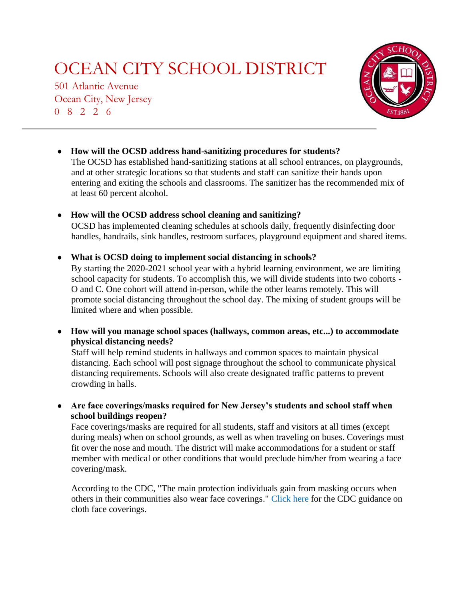501 Atlantic Avenue Ocean City, New Jersey 0 8 2 2 6



### ● **How will the OCSD address hand-sanitizing procedures for students?**

The OCSD has established hand-sanitizing stations at all school entrances, on playgrounds, and at other strategic locations so that students and staff can sanitize their hands upon entering and exiting the schools and classrooms. The sanitizer has the recommended mix of at least 60 percent alcohol.

#### ● **How will the OCSD address school cleaning and sanitizing?**

OCSD has implemented cleaning schedules at schools daily, frequently disinfecting door handles, handrails, sink handles, restroom surfaces, playground equipment and shared items.

#### ● **What is OCSD doing to implement social distancing in schools?**

By starting the 2020-2021 school year with a hybrid learning environment, we are limiting school capacity for students. To accomplish this, we will divide students into two cohorts - O and C. One cohort will attend in-person, while the other learns remotely. This will promote social distancing throughout the school day. The mixing of student groups will be limited where and when possible.

● **How will you manage school spaces (hallways, common areas, etc...) to accommodate physical distancing needs?**

Staff will help remind students in hallways and common spaces to maintain physical distancing. Each school will post signage throughout the school to communicate physical distancing requirements. Schools will also create designated traffic patterns to prevent crowding in halls.

● **Are face coverings/masks required for New Jersey's students and school staff when school buildings reopen?**

Face coverings/masks are required for all students, staff and visitors at all times (except during meals) when on school grounds, as well as when traveling on buses. Coverings must fit over the nose and mouth. The district will make accommodations for a student or staff member with medical or other conditions that would preclude him/her from wearing a face covering/mask.

According to the CDC, "The main protection individuals gain from masking occurs when others in their communities also wear face coverings." [Click here](https://www.cdc.gov/coronavirus/2019-ncov/prevent-getting-sick/how-to-wear-cloth-face-coverings.html) for the CDC guidance on cloth face coverings.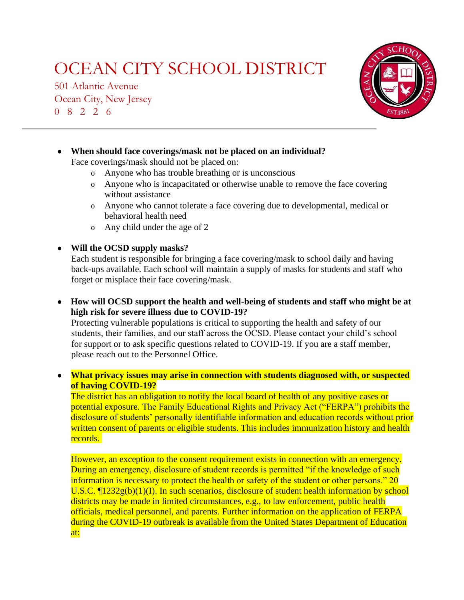501 Atlantic Avenue Ocean City, New Jersey 0 8 2 2 6



● **When should face coverings/mask not be placed on an individual?** Face coverings/mask should not be placed on: o Anyone who has trouble breathing or is unconscious

- 
- o Anyone who is incapacitated or otherwise unable to remove the face covering without assistance
- o Anyone who cannot tolerate a face covering due to developmental, medical or behavioral health need
- o Any child under the age of 2

● **Will the OCSD supply masks?**

Each student is responsible for bringing a face covering/mask to school daily and having back-ups available. Each school will maintain a supply of masks for students and staff who forget or misplace their face covering/mask.

● **How will OCSD support the health and well-being of students and staff who might be at high risk for severe illness due to COVID-19?**

Protecting vulnerable populations is critical to supporting the health and safety of our students, their families, and our staff across the OCSD. Please contact your child's school for support or to ask specific questions related to COVID-19. If you are a staff member, please reach out to the Personnel Office.

● **What privacy issues may arise in connection with students diagnosed with, or suspected of having COVID-19?**

The district has an obligation to notify the local board of health of any positive cases or potential exposure. The Family Educational Rights and Privacy Act ("FERPA") prohibits the disclosure of students' personally identifiable information and education records without prior written consent of parents or eligible students. This includes immunization history and health records.

However, an exception to the consent requirement exists in connection with an emergency. During an emergency, disclosure of student records is permitted "if the knowledge of such information is necessary to protect the health or safety of the student or other persons." 20 U.S.C.  $\Pi$ 1232g(b)(1)(I). In such scenarios, disclosure of student health information by school districts may be made in limited circumstances, e.g., to law enforcement, public health officials, medical personnel, and parents. Further information on the application of FERPA during the COVID-19 outbreak is available from the United States Department of Education at: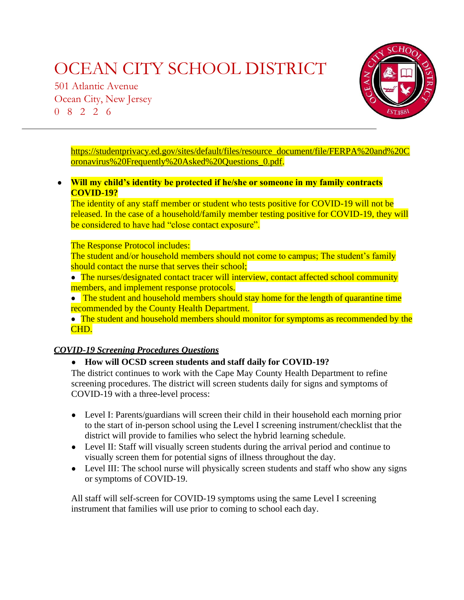501 Atlantic Avenue Ocean City, New Jersey 0 8 2 2 6



<span id="page-10-0"></span>[https://studentprivacy.ed.gov/sites/default/files/resource\\_document/file/FERPA%20and%20C](https://studentprivacy.ed.gov/sites/default/files/resource_document/file/FERPA%20and%20Coronavirus%20Frequently%20Asked%20Questions_0.pdf) [oronavirus%20Frequently%20Asked%20Questions\\_0.pdf.](https://studentprivacy.ed.gov/sites/default/files/resource_document/file/FERPA%20and%20Coronavirus%20Frequently%20Asked%20Questions_0.pdf)

● **Will my child's identity be protected if he/she or someone in my family contracts COVID-19?**

The identity of any staff member or student who tests positive for COVID-19 will not be released. In the case of a household/family member testing positive for COVID-19, they will be considered to have had "close contact exposure".

#### The Response Protocol includes:

The student and/or household members should not come to campus; The student's family should contact the nurse that serves their school;

• The nurses/designated contact tracer will interview, contact affected school community members, and implement response protocols.

• The student and household members should stay home for the length of quarantine time recommended by the County Health Department.

• The student and household members should monitor for symptoms as recommended by the CHD.

### *COVID-19 Screening Procedures Questions*

### ● **How will OCSD screen students and staff daily for COVID-19?**

The district continues to work with the Cape May County Health Department to refine screening procedures. The district will screen students daily for signs and symptoms of COVID-19 with a three-level process:

- Level I: Parents/guardians will screen their child in their household each morning prior to the start of in-person school using the Level I screening instrument/checklist that the district will provide to families who select the hybrid learning schedule.
- Level II: Staff will visually screen students during the arrival period and continue to visually screen them for potential signs of illness throughout the day.
- Level III: The school nurse will physically screen students and staff who show any signs or symptoms of COVID-19.

All staff will self-screen for COVID-19 symptoms using the same Level I screening instrument that families will use prior to coming to school each day.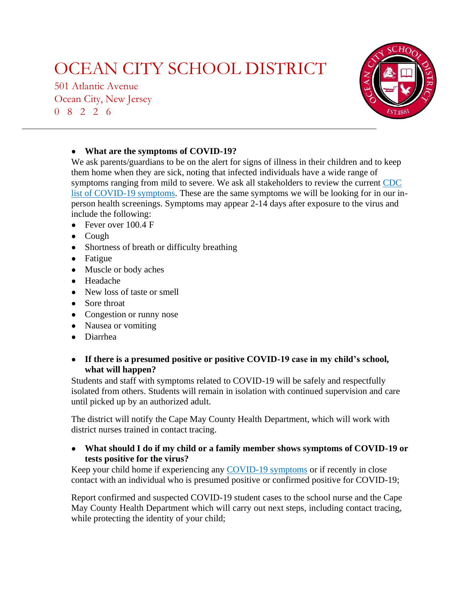501 Atlantic Avenue Ocean City, New Jersey 0 8 2 2 6



### ● **What are the symptoms of COVID-19?**

We ask parents/guardians to be on the alert for signs of illness in their children and to keep them home when they are sick, noting that infected individuals have a wide range of symptoms ranging from mild to severe. We ask all stakeholders to review the current [CDC](https://www.cdc.gov/coronavirus/2019-ncov/symptoms-testing/symptoms.html) [list of COVID-19](https://www.cdc.gov/coronavirus/2019-ncov/symptoms-testing/symptoms.html) [symptoms.](https://www.cdc.gov/coronavirus/2019-ncov/symptoms-testing/symptoms.html) These are the same symptoms we will be looking for in our inperson health screenings. Symptoms may appear 2-14 days after exposure to the virus and include the following:

- Fever over  $100.4 \text{ F}$
- Cough
- Shortness of breath or difficulty breathing
- Fatigue
- Muscle or body aches
- Headache
- New loss of taste or smell
- Sore throat
- Congestion or runny nose
- Nausea or vomiting
- Diarrhea

### ● **If there is a presumed positive or positive COVID-19 case in my child's school, what will happen?**

Students and staff with symptoms related to COVID-19 will be safely and respectfully isolated from others. Students will remain in isolation with continued supervision and care until picked up by an authorized adult.

The district will notify the Cape May County Health Department, which will work with district nurses trained in contact tracing.

### ● **What should I do if my child or a family member shows symptoms of COVID-19 or tests positive for the virus?**

Keep your child home if experiencing any [COVID-19 symptoms](https://www.cdc.gov/coronavirus/2019-ncov/symptoms-testing/symptoms.html) or if recently in close contact with an individual who is presumed positive or confirmed positive for COVID-19;

Report confirmed and suspected COVID-19 student cases to the school nurse and the Cape May County Health Department which will carry out next steps, including contact tracing, while protecting the identity of your child;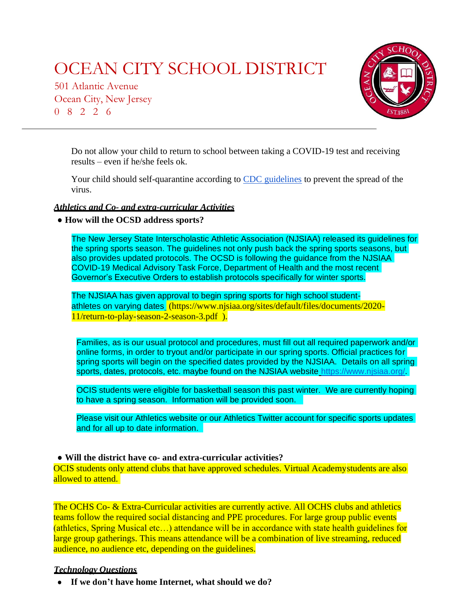501 Atlantic Avenue Ocean City, New Jersey 0 8 2 2 6



<span id="page-12-0"></span>Do not allow your child to return to school between taking a COVID-19 test and receiving results – even if he/she feels ok.

Your child should self-quarantine according to [CDC guidelines](https://www.cdc.gov/coronavirus/2019-ncov/if-you-are-sick/quarantine.html) to prevent the spread of the virus.

#### *Athletics and Co- and extra-curricular Activities*

● **How will the OCSD address sports?**

The New Jersey State Interscholastic Athletic Association (NJSIAA) released its guidelines for the spring sports season. The guidelines not only push back the spring sports seasons, but also provides updated protocols. The OCSD is following the guidance from the NJSIAA COVID-19 Medical Advisory Task Force, Department of Health and the most recent Governor's Executive Orders to establish protocols specifically for winter sports.

The NJSIAA has given approval to begin spring sports for high school studentathletes on varying date[s](https://www.njsiaa.org/sites/default/files/documents/2020-12/return-to-play-plan-season-4.pdf) [\(https://www.njsiaa.org/sites/default/files/documents/2020-](https://www.njsiaa.org/sites/default/files/documents/2020-11/return-to-play-season-2-season-3.pdf) [11/return-to-play-season-2-season-3.pdf](https://www.njsiaa.org/sites/default/files/documents/2020-11/return-to-play-season-2-season-3.pdf) ).

Families, as is our usual protocol and procedures, must fill out all required paperwork and/or online forms, in order to tryout and/or participate in our spring sports. Official practices for spring sports will begin on the specified dates provided by the NJSIAA. Details on all spring sports, dates, protocols, etc. maybe found on the NJSIAA website [https://www.njsiaa.org/.](https://www.njsiaa.org/)

OCIS students were eligible for basketball season this past winter. We are currently hoping to have a spring season. Information will be provided soon.

Please visit our Athletics website or our Athletics Twitter account for specific sports updates and for all up to date information.

#### ● **Will the district have co- and extra-curricular activities?**

OCIS students only attend clubs that have approved schedules. Virtual Academystudents are also allowed to attend.

The OCHS Co- & Extra-Curricular activities are currently active. All OCHS clubs and athletics teams follow the required social distancing and PPE procedures. For large group public events (athletics, Spring Musical etc…) attendance will be in accordance with state health guidelines for large group gatherings. This means attendance will be a combination of live streaming, reduced audience, no audience etc, depending on the guidelines.

#### *Technology Questions*

● **If we don't have home Internet, what should we do?**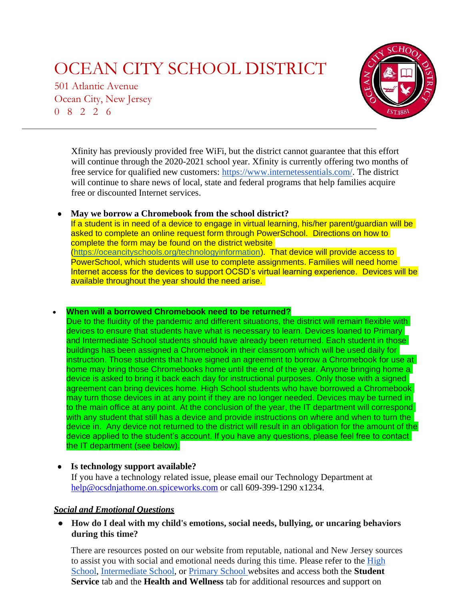501 Atlantic Avenue Ocean City, New Jersey 0 8 2 2 6



<span id="page-13-0"></span>Xfinity has previously provided free WiFi, but the district cannot guarantee that this effort will continue through the 2020-2021 school year. Xfinity is currently offering two months of free service for qualified new customers: [https://www.internetessentials.com/.](https://www.internetessentials.com/) The district will continue to share news of local, state and federal programs that help families acquire free or discounted Internet services.

#### ● **May we borrow a Chromebook from the school district?**

If a student is in need of a device to engage in virtual learning, his/her parent/guardian will be asked to complete an online request form through PowerSchool. Directions on how to complete the form may be found on the district website [\(https://oceancityschools.org/technologyinformation\)](https://oceancityschools.org/technologyinformation). That device will provide access to PowerSchool, which students will use to complete assignments. Families will need home Internet access for the devices to support OCSD's virtual learning experience. Devices will be available throughout the year should the need arise.

#### • **When will a borrowed Chromebook need to be returned?**

Due to the fluidity of the pandemic and different situations, the district will remain flexible with devices to ensure that students have what is necessary to learn. Devices loaned to Primary and Intermediate School students should have already been returned. Each student in those buildings has been assigned a Chromebook in their classroom which will be used daily for instruction. Those students that have signed an agreement to borrow a Chromebook for use at home may bring those Chromebooks home until the end of the year. Anyone bringing home a device is asked to bring it back each day for instructional purposes. Only those with a signed agreement can bring devices home. High School students who have borrowed a Chromebook may turn those devices in at any point if they are no longer needed. Devices may be turned in to the main office at any point. At the conclusion of the year, the IT department will correspond with any student that still has a device and provide instructions on where and when to turn the device in. Any device not returned to the district will result in an obligation for the amount of the device applied to the student's account. If you have any questions, please feel free to contact the IT department (see below).

### ● **Is technology support available?**

If you have a technology related issue, please email our Technology Department at [help@ocsdnjathome.on.spiceworks.com](mailto:help@ocsdnjathome.on.spiceworks.com) or call 609-399-1290 x1234.

### *Social and Emotional Questions*

● **How do I deal with my child's emotions, social needs, bullying, or uncaring behaviors during this time?**

There are resources posted on our website from reputable, national and New Jersey sources to assist you with social and emotional needs during this time. Please refer to the [High](https://oceancityschools.org/highschool/index) [School](https://oceancityschools.org/highschool/index)[,](https://oceancityschools.org/intermediate/index) [Intermediate School,](https://oceancityschools.org/intermediate/index) or [Primary School we](https://oceancityschools.org/primary/index)bsites and access both the **Student Service** tab and the **Health and Wellness** tab for additional resources and support on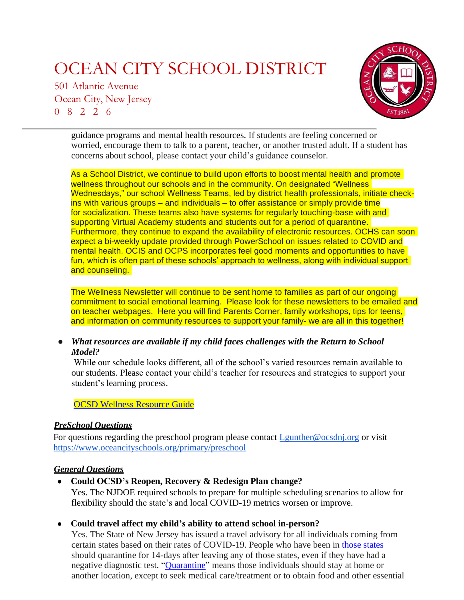501 Atlantic Avenue Ocean City, New Jersey 0 8 2 2 6

> guidance programs and mental health resources. If students are feeling concerned or worried, encourage them to talk to a parent, teacher, or another trusted adult. If a student has concerns about school, please contact your child's guidance counselor.

As a School District, we continue to build upon efforts to boost mental health and promote wellness throughout our schools and in the community. On designated "Wellness" Wednesdays," our school Wellness Teams, led by district health professionals, initiate checkins with various groups – and individuals – to offer assistance or simply provide time for socialization. These teams also have systems for regularly touching-base with and supporting Virtual Academy students and students out for a period of quarantine. Furthermore, they continue to expand the availability of electronic resources. OCHS can soon expect a bi-weekly update provided through PowerSchool on issues related to COVID and mental health. OCIS and OCPS incorporates feel good moments and opportunities to have fun, which is often part of these schools' approach to wellness, along with individual support and counseling.

<span id="page-14-0"></span>The Wellness Newsletter will continue to be sent home to families as part of our ongoing commitment to social emotional learning. Please look for these newsletters to be emailed and on teacher webpages. Here you will find Parents Corner, family workshops, tips for teens, and information on community resources to support your family- we are all in this together!

● *What resources are available if my child faces challenges with the Return to School Model?*

While our schedule looks different, all of the school's varied resources remain available to our students. Please contact your child's teacher for resources and strategies to support your student's learning process.

[OCSD Wellness Resource Guide](https://ocnj-my.sharepoint.com/:b:/g/personal/mkeiluhn_ocsdnj_org/ESdvzAiXk_ZLipEptUkJHMUBzw15IUQr29PaBBaZ8yiNtQ?e=cTkE09)

### *PreSchool Questions*

For questions regarding the preschool program please contact *Lgunther@ocsdnj.org* or visit <https://www.oceancityschools.org/primary/preschool>

### *General Questions*

● **Could OCSD's Reopen, Recovery & Redesign Plan change?**

Yes. The NJDOE required schools to prepare for multiple scheduling scenarios to allow for flexibility should the state's and local COVID-19 metrics worsen or improve.

### ● **Could travel affect my child's ability to attend school in-person?**

Yes. The State of New Jersey has issued a travel advisory for all individuals coming from certain states based on their rates of COVID-19. People who have been in [those states](https://covid19.nj.gov/faqs/nj-information/travel-information/which-states-are-on-the-travel-advisory-list-are-there-travel-restrictions-to-or-from-new-jersey) should quarantine for 14-days after leaving any of those states, even if they have had a negative diagnostic test. ["Quarantine" m](https://nj.gov/health/cd/documents/topics/NCOV/Travel_advisoryFAQs_6-25-2020.pdf)eans those individuals should stay at home or another location, except to seek medical care/treatment or to obtain food and other essential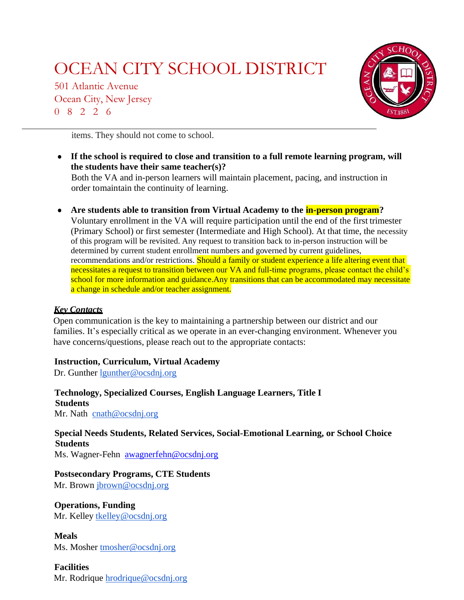501 Atlantic Avenue Ocean City, New Jersey 0 8 2 2 6

<span id="page-15-0"></span>

items. They should not come to school.

- **If the school is required to close and transition to a full remote learning program, will the students have their same teacher(s)?** Both the VA and in-person learners will maintain placement, pacing, and instruction in order to maintain the continuity of learning.
- **Are students able to transition from Virtual Academy to the in-person program?**

Voluntary enrollment in the VA will require participation until the end of the first trimester (Primary School) or first semester (Intermediate and High School). At that time, the necessity of this program will be revisited. Any request to transition back to in-person instruction will be determined by current student enrollment numbers and governed by current guidelines, recommendations and/or restrictions. Should a family or student experience a life altering event that necessitates a request to transition between our VA and full-time programs, please contact the child's school for more information and guidance. Any transitions that can be accommodated may necessitate a change in schedule and/or teacher assignment.

### *Key Contacts*

Open communication is the key to maintaining a partnership between our district and our families. It's especially critical as we operate in an ever-changing environment. Whenever you have concerns/questions, please reach out to the appropriate contacts:

#### **Instruction, Curriculum, Virtual Academy**

Dr. Gunther [lgunther@ocsdnj.org](mailto:lgunther@ocsdnj.org)

**Technology, Specialized Courses, English Language Learners, Title I Students** Mr. Nath [cnath@ocsdnj.org](mailto:cnath@ocsdnj.org)

**Special Needs Students, Related Services, Social-Emotional Learning, or School Choice Students**

Ms. Wagner-Fehn [awagnerfehn@ocsdnj.org](mailto:awagnerfehn@ocsdnj.org)

**Postsecondary Programs, CTE Students**

Mr. Brown [jbrown@ocsdnj.org](mailto:jbrown@ocsdnj.org)

**Operations, Funding** Mr. Kelley [tkelley@ocsdnj.org](mailto:tkelley@ocsdnj.org)

**Meals** Ms. Mosher [tmosher@ocsdnj.org](mailto:tmosher@ocsdnj.org)

**Facilities** Mr. Rodrique [hrodrique@ocsdnj.org](mailto:hrodrique@ocsdnj.org)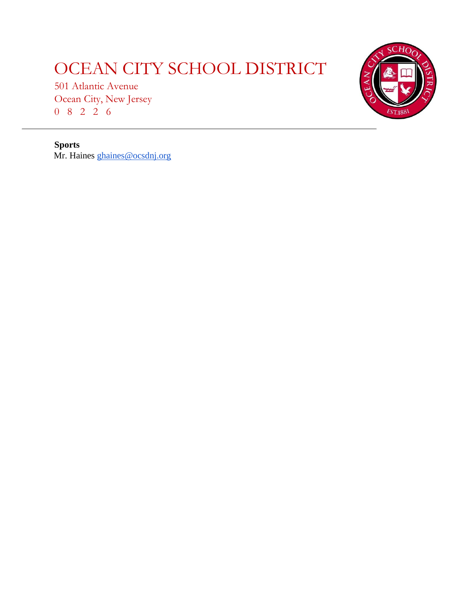501 Atlantic Avenue Ocean City, New Jersey 0 8 2 2 6



**Sports** Mr. Haines [ghaines@ocsdnj.org](mailto:ghaines@ocsdnj.org)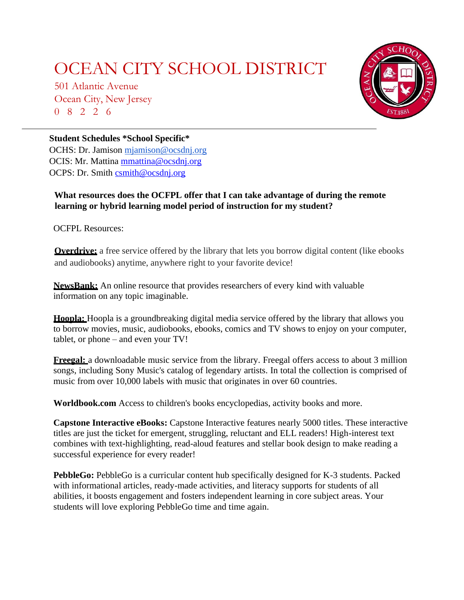501 Atlantic Avenue Ocean City, New Jersey 0 8 2 2 6



### <span id="page-17-0"></span>**Student Schedules \*School Specific\***

OCHS: Dr. Jamison [mjamison@ocsdnj.org](mailto:mjamison@ocsdnj.org) OCIS: Mr. Mattina [mmattina@ocsdnj.org](mailto:mmattina@ocsdnj.org) OCPS: Dr. Smith [csmith@ocsdnj.org](mailto:csmith@ocsdnj.org)

### **What resources does the OCFPL offer that I can take advantage of during the remote learning or hybrid learning model period of instruction for my student?**

OCFPL Resources:

**Overdrive:** a free service offered by the library that lets you borrow digital content (like ebooks and audiobooks) anytime, anywhere right to your favorite device!

**NewsBank:** An online resource that provides researchers of every kind with valuable information on any topic imaginable.

**Hoopla:** Hoopla is a groundbreaking digital media service offered by the library that allows you to borrow movies, music, audiobooks, ebooks, comics and TV shows to enjoy on your computer, tablet, or phone – and even your TV!

**Freegal:** a downloadable music service from the library. Freegal offers access to about 3 million songs, including Sony Music's catalog of legendary artists. In total the collection is comprised of music from over 10,000 labels with music that originates in over 60 countries.

**Worldbook.com** Access to children's books encyclopedias, activity books and more.

**[Capstone Interactive eBooks:](http://www.mycapstonelibrary.com/menu/%23/bookshelf)** Capstone Interactive features nearly 5000 titles. These interactive titles are just the ticket for emergent, struggling, reluctant and ELL readers! High-interest text combines with text-highlighting, read-aloud features and stellar book design to make reading a successful experience for every reader!

**[PebbleGo:](https://site.pebblego.com/modules)** PebbleGo is a curricular content hub specifically designed for K-3 students. Packed with informational articles, ready-made activities, and literacy supports for students of all abilities, it boosts engagement and fosters independent learning in core subject areas. Your students will love exploring PebbleGo time and time again.